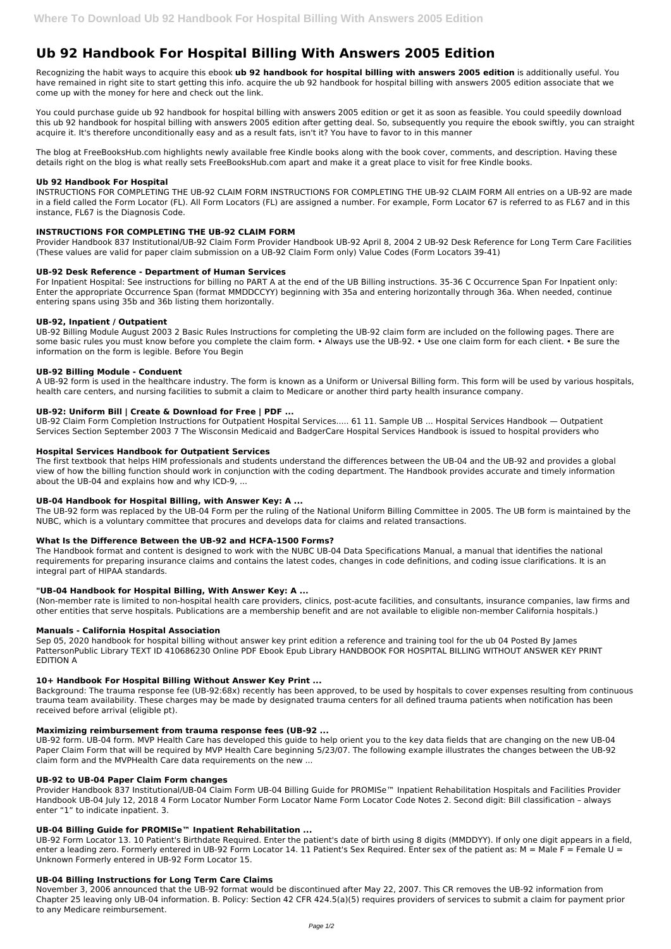# **Ub 92 Handbook For Hospital Billing With Answers 2005 Edition**

Recognizing the habit ways to acquire this ebook **ub 92 handbook for hospital billing with answers 2005 edition** is additionally useful. You have remained in right site to start getting this info. acquire the ub 92 handbook for hospital billing with answers 2005 edition associate that we come up with the money for here and check out the link.

You could purchase guide ub 92 handbook for hospital billing with answers 2005 edition or get it as soon as feasible. You could speedily download this ub 92 handbook for hospital billing with answers 2005 edition after getting deal. So, subsequently you require the ebook swiftly, you can straight acquire it. It's therefore unconditionally easy and as a result fats, isn't it? You have to favor to in this manner

The blog at FreeBooksHub.com highlights newly available free Kindle books along with the book cover, comments, and description. Having these details right on the blog is what really sets FreeBooksHub.com apart and make it a great place to visit for free Kindle books.

# **Ub 92 Handbook For Hospital**

INSTRUCTIONS FOR COMPLETING THE UB-92 CLAIM FORM INSTRUCTIONS FOR COMPLETING THE UB-92 CLAIM FORM All entries on a UB-92 are made in a field called the Form Locator (FL). All Form Locators (FL) are assigned a number. For example, Form Locator 67 is referred to as FL67 and in this instance, FL67 is the Diagnosis Code.

# **INSTRUCTIONS FOR COMPLETING THE UB-92 CLAIM FORM**

Provider Handbook 837 Institutional/UB-92 Claim Form Provider Handbook UB-92 April 8, 2004 2 UB-92 Desk Reference for Long Term Care Facilities (These values are valid for paper claim submission on a UB-92 Claim Form only) Value Codes (Form Locators 39-41)

#### **UB-92 Desk Reference - Department of Human Services**

For Inpatient Hospital: See instructions for billing no PART A at the end of the UB Billing instructions. 35-36 C Occurrence Span For Inpatient only: Enter the appropriate Occurrence Span (format MMDDCCYY) beginning with 35a and entering horizontally through 36a. When needed, continue entering spans using 35b and 36b listing them horizontally.

# **UB-92, Inpatient / Outpatient**

UB-92 Billing Module August 2003 2 Basic Rules Instructions for completing the UB-92 claim form are included on the following pages. There are some basic rules you must know before you complete the claim form. • Always use the UB-92. • Use one claim form for each client. • Be sure the information on the form is legible. Before You Begin

#### **UB-92 Billing Module - Conduent**

A UB-92 form is used in the healthcare industry. The form is known as a Uniform or Universal Billing form. This form will be used by various hospitals, health care centers, and nursing facilities to submit a claim to Medicare or another third party health insurance company.

# **UB-92: Uniform Bill | Create & Download for Free | PDF ...**

UB-92 Claim Form Completion Instructions for Outpatient Hospital Services..... 61 11. Sample UB ... Hospital Services Handbook — Outpatient Services Section September 2003 7 The Wisconsin Medicaid and BadgerCare Hospital Services Handbook is issued to hospital providers who

#### **Hospital Services Handbook for Outpatient Services**

The first textbook that helps HIM professionals and students understand the differences between the UB-04 and the UB-92 and provides a global view of how the billing function should work in conjunction with the coding department. The Handbook provides accurate and timely information about the UB-04 and explains how and why ICD-9, ...

#### **UB-04 Handbook for Hospital Billing, with Answer Key: A ...**

The UB-92 form was replaced by the UB-04 Form per the ruling of the National Uniform Billing Committee in 2005. The UB form is maintained by the NUBC, which is a voluntary committee that procures and develops data for claims and related transactions.

#### **What Is the Difference Between the UB-92 and HCFA-1500 Forms?**

The Handbook format and content is designed to work with the NUBC UB-04 Data Specifications Manual, a manual that identifies the national requirements for preparing insurance claims and contains the latest codes, changes in code definitions, and coding issue clarifications. It is an integral part of HIPAA standards.

#### **"UB-04 Handbook for Hospital Billing, With Answer Key: A ...**

(Non-member rate is limited to non-hospital health care providers, clinics, post-acute facilities, and consultants, insurance companies, law firms and other entities that serve hospitals. Publications are a membership benefit and are not available to eligible non-member California hospitals.)

#### **Manuals - California Hospital Association**

Sep 05, 2020 handbook for hospital billing without answer key print edition a reference and training tool for the ub 04 Posted By James PattersonPublic Library TEXT ID 410686230 Online PDF Ebook Epub Library HANDBOOK FOR HOSPITAL BILLING WITHOUT ANSWER KEY PRINT EDITION A

#### **10+ Handbook For Hospital Billing Without Answer Key Print ...**

Background: The trauma response fee (UB-92:68x) recently has been approved, to be used by hospitals to cover expenses resulting from continuous trauma team availability. These charges may be made by designated trauma centers for all defined trauma patients when notification has been received before arrival (eligible pt).

#### **Maximizing reimbursement from trauma response fees (UB-92 ...**

UB-92 form. UB-04 form. MVP Health Care has developed this guide to help orient you to the key data fields that are changing on the new UB-04 Paper Claim Form that will be required by MVP Health Care beginning 5/23/07. The following example illustrates the changes between the UB-92 claim form and the MVPHealth Care data requirements on the new ...

#### **UB-92 to UB-04 Paper Claim Form changes**

Provider Handbook 837 Institutional/UB-04 Claim Form UB-04 Billing Guide for PROMISe™ Inpatient Rehabilitation Hospitals and Facilities Provider Handbook UB-04 July 12, 2018 4 Form Locator Number Form Locator Name Form Locator Code Notes 2. Second digit: Bill classification – always enter "1" to indicate inpatient. 3.

#### **UB-04 Billing Guide for PROMISe™ Inpatient Rehabilitation ...**

UB-92 Form Locator 13. 10 Patient's Birthdate Required. Enter the patient's date of birth using 8 digits (MMDDYY). If only one digit appears in a field, enter a leading zero. Formerly entered in UB-92 Form Locator 14. 11 Patient's Sex Required. Enter sex of the patient as:  $M = MaleF = Female U =$ Unknown Formerly entered in UB-92 Form Locator 15.

#### **UB-04 Billing Instructions for Long Term Care Claims**

November 3, 2006 announced that the UB-92 format would be discontinued after May 22, 2007. This CR removes the UB-92 information from Chapter 25 leaving only UB-04 information. B. Policy: Section 42 CFR 424.5(a)(5) requires providers of services to submit a claim for payment prior to any Medicare reimbursement.